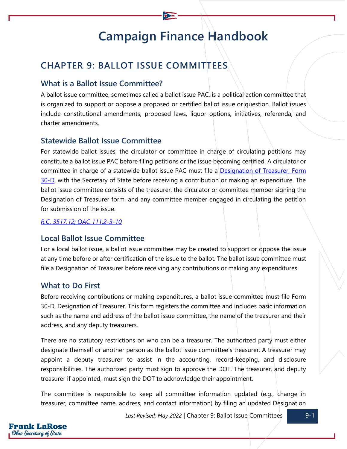# **Campaign Finance Handbook**

# **CHAPTER 9: BALLOT ISSUE COMMITTEES**

# **What is a Ballot Issue Committee?**

A ballot issue committee, sometimes called a ballot issue PAC, is a political action committee that is organized to support or oppose a proposed or certified ballot issue or question. Ballot issues include constitutional amendments, proposed laws, liquor options, initiatives, referenda, and charter amendments.

# **Statewide Ballot Issue Committee**

For statewide ballot issues, the circulator or committee in charge of circulating petitions may constitute a ballot issue PAC before filing petitions or the issue becoming certified. A circulator or committee in charge of a statewide ballot issue PAC must file a **Designation of Treasurer**, Form [30-D,](https://www.ohiosos.gov/globalassets/candidates/forms/30d.pdf) with the Secretary of State before receiving a contribution or making an expenditure. The ballot issue committee consists of the treasurer, the circulator or committee member signing the Designation of Treasurer form, and any committee member engaged in circulating the petition for submission of the issue.

*[R.C. 3517.12;](https://codes.ohio.gov/ohio-revised-code/section-3517.12) [OAC 111:2-3-10](https://codes.ohio.gov/ohio-administrative-code/rule-111:2-3-10)*

# **Local Ballot Issue Committee**

For a local ballot issue, a ballot issue committee may be created to support or oppose the issue at any time before or after certification of the issue to the ballot. The ballot issue committee must file a Designation of Treasurer before receiving any contributions or making any expenditures.

# **What to Do First**

Before receiving contributions or making expenditures, a ballot issue committee must file Form [30-D, Designation of Treasurer.](https://www.ohiosos.gov/globalassets/candidates/forms/30d.pdf) This form registers the committee and includes basic information such as the name and address of the ballot issue committee, the name of the treasurer and their address, and any deputy treasurers.

There are no statutory restrictions on who can be a treasurer. The authorized party must either designate themself or another person as the ballot issue committee's treasurer. A treasurer may appoint a deputy treasurer to assist in the accounting, record-keeping, and disclosure responsibilities. The authorized party must sign to approve the DOT. The treasurer, and deputy treasurer if appointed, must sign the DOT to acknowledge their appointment.

The committee is responsible to keep all committee information updated (e.g., change in treasurer, committee name, address, and contact information) by filing an updated Designation

Last Revised: May 2022 | Chapter 9: Ballot Issue Committees **19-1** 

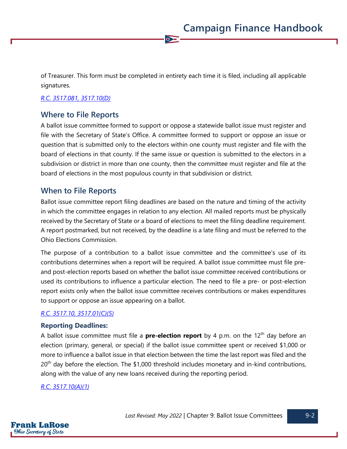of Treasurer. This form must be completed in entirety each time it is filed, including all applicable signatures.

 $\bullet$ 

#### *[R.C. 3517.081,](https://codes.ohio.gov/ohio-revised-code/section-3517.081) [3517.10\(D\)](https://codes.ohio.gov/ohio-revised-code/section-3517.10)*

# **Where to File Reports**

A ballot issue committee formed to support or oppose a statewide ballot issue must register and file with the Secretary of State's Office. A committee formed to support or oppose an issue or question that is submitted only to the electors within one county must register and file with the board of elections in that county. If the same issue or question is submitted to the electors in a subdivision or district in more than one county, then the committee must register and file at the board of elections in the most populous county in that subdivision or district.

#### **When to File Reports**

Ballot issue committee report filing deadlines are based on the nature and timing of the activity in which the committee engages in relation to any election. All mailed reports must be physically received by the Secretary of State or a board of elections to meet the filing deadline requirement. A report postmarked, but not received, by the deadline is a late filing and must be referred to the Ohio Elections Commission.

The purpose of a contribution to a ballot issue committee and the committee's use of its contributions determines when a report will be required. A ballot issue committee must file preand post-election reports based on whether the ballot issue committee received contributions or used its contributions to influence a particular election. The need to file a pre- or post-election report exists only when the ballot issue committee receives contributions or makes expenditures to support or oppose an issue appearing on a ballot.

#### *[R.C. 3517.10,](https://codes.ohio.gov/ohio-revised-code/section-3517.10) [3517.01\(C\)\(5\)](https://codes.ohio.gov/ohio-revised-code/section-3517.01)*

#### **Reporting Deadlines:**

A ballot issue committee must file a **pre-election report** by 4 p.m. on the 12<sup>th</sup> day before an election (primary, general, or special) if the ballot issue committee spent or received \$1,000 or more to influence a ballot issue in that election between the time the last report was filed and the  $20<sup>th</sup>$  day before the election. The \$1,000 threshold includes monetary and in-kind contributions, along with the value of any new loans received during the reporting period.

#### *[R.C. 3517.10\(A\)\(1\)](https://codes.ohio.gov/ohio-revised-code/section-3517.10)*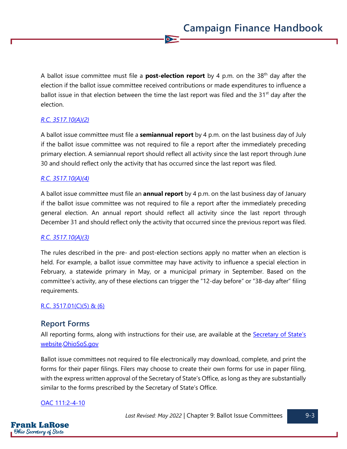A ballot issue committee must file a **post-election report** by 4 p.m. on the 38th day after the election if the ballot issue committee received contributions or made expenditures to influence a ballot issue in that election between the time the last report was filed and the  $31<sup>st</sup>$  day after the election.

 $\overline{\bullet}$ 

#### *[R.C. 3517.10\(A\)\(2\)](https://codes.ohio.gov/ohio-revised-code/section-3517.10)*

A ballot issue committee must file a **semiannual report** by 4 p.m. on the last business day of July if the ballot issue committee was not required to file a report after the immediately preceding primary election. A semiannual report should reflect all activity since the last report through June 30 and should reflect only the activity that has occurred since the last report was filed.

#### *[R.C. 3517.10\(A\)\(4\)](https://codes.ohio.gov/ohio-revised-code/section-3517.10)*

A ballot issue committee must file an **annual report** by 4 p.m. on the last business day of January if the ballot issue committee was not required to file a report after the immediately preceding general election. An annual report should reflect all activity since the last report through December 31 and should reflect only the activity that occurred since the previous report was filed.

#### *[R.C. 3517.10\(A\)\(3\)](https://codes.ohio.gov/ohio-revised-code/section-3517.10)*

The rules described in the pre- and post-election sections apply no matter when an election is held. For example, a ballot issue committee may have activity to influence a special election in February, a statewide primary in May, or a municipal primary in September. Based on the committee's activity, any of these elections can trigger the "12-day before" or "38-day after" filing requirements.

#### [R.C. 3517.01\(C\)\(5\) & \(6\)](https://codes.ohio.gov/ohio-revised-code/section-3517.01)

#### **Report Forms**

All reporting forms, along with instructions for their use, are available at the Secretary of State's [website](https://www.ohiosos.gov/campaign-finance/filing-forms/)[.OhioSoS.gov](https://www.ohiosos.gov/elections/elections-officials/forms-petitions/)

Ballot issue committees not required to file electronically may download, complete, and print the forms for their paper filings. Filers may choose to create their own forms for use in paper filing, with the express written approval of the Secretary of State's Office, as long as they are substantially similar to the forms prescribed by the Secretary of State's Office.

#### [OAC 111:2-4-10](https://codes.ohio.gov/ohio-administrative-code/rule-111:2-4-10)

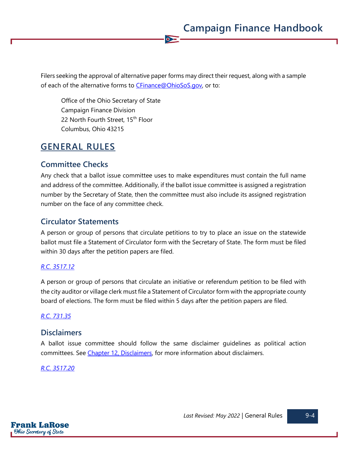Filers seeking the approval of alternative paper forms may direct their request, along with a sample of each of the alternative forms to [CFinance@OhioSoS.gov,](mailto:CFinance@OhioSoS.gov) or to:

 $\bullet$ 

Office of the Ohio Secretary of State Campaign Finance Division 22 North Fourth Street, 15<sup>th</sup> Floor Columbus, Ohio 43215

# **GENERAL RULES**

### **Committee Checks**

Any check that a ballot issue committee uses to make expenditures must contain the full name and address of the committee. Additionally, if the ballot issue committee is assigned a registration number by the Secretary of State, then the committee must also include its assigned registration number on the face of any committee check.

### **Circulator Statements**

A person or group of persons that circulate petitions to try to place an issue on the statewide ballot must file a Statement of Circulator form with the Secretary of State. The form must be filed within 30 days after the petition papers are filed.

#### *[R.C. 3517.12](https://codes.ohio.gov/ohio-revised-code/section-3517.12)*

A person or group of persons that circulate an initiative or referendum petition to be filed with the city auditor or village clerk must file a Statement of Circulator form with the appropriate county board of elections. The form must be filed within 5 days after the petition papers are filed.

#### *[R.C. 731.35](https://codes.ohio.gov/ohio-revised-code/section-731.35)*

#### **Disclaimers**

A ballot issue committee should follow the same disclaimer guidelines as political action committees. See [Chapter 12, Disclaimers,](https://www.ohiosos.gov/globalassets/candidates/cfguide/chapters/chapter12.pdf) for more information about disclaimers.

#### *[R.C. 3517.20](https://codes.ohio.gov/ohio-revised-code/section-3517.20)*

Frank LaRose **Ohio Secretary of State**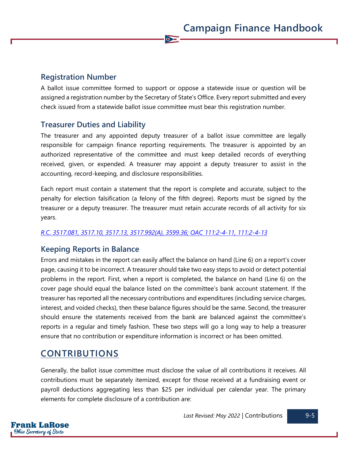# **Registration Number**

A ballot issue committee formed to support or oppose a statewide issue or question will be assigned a registration number by the Secretary of State's Office. Every report submitted and every check issued from a statewide ballot issue committee must bear this registration number.

 $\overline{\bullet}$ 

# **Treasurer Duties and Liability**

The treasurer and any appointed deputy treasurer of a ballot issue committee are legally responsible for campaign finance reporting requirements. The treasurer is appointed by an authorized representative of the committee and must keep detailed records of everything received, given, or expended. A treasurer may appoint a deputy treasurer to assist in the accounting, record-keeping, and disclosure responsibilities.

Each report must contain a statement that the report is complete and accurate, subject to the penalty for election falsification (a felony of the fifth degree). Reports must be signed by the treasurer or a deputy treasurer. The treasurer must retain accurate records of all activity for six years.

#### *[R.C. 3517.081,](https://codes.ohio.gov/ohio-revised-code/section-3517.081) [3517.10,](https://codes.ohio.gov/ohio-revised-code/section-3517.10) [3517.13,](https://codes.ohio.gov/ohio-revised-code/section-3517.13) [3517.992\(A\),](https://codes.ohio.gov/ohio-revised-code/section-3517.992) [3599.36;](https://codes.ohio.gov/ohio-revised-code/section-3599.36) [OAC 111:2-4-11,](https://codes.ohio.gov/ohio-administrative-code/rule-111:2-4-11) [111:2-4-13](https://codes.ohio.gov/ohio-administrative-code/rule-111:2-4-13)*

# **Keeping Reports in Balance**

Errors and mistakes in the report can easily affect the balance on hand (Line 6) on a report's cover page, causing it to be incorrect. A treasurer should take two easy steps to avoid or detect potential problems in the report. First, when a report is completed, the balance on hand (Line 6) on the cover page should equal the balance listed on the committee's bank account statement. If the treasurer has reported all the necessary contributions and expenditures (including service charges, interest, and voided checks), then these balance figures should be the same. Second, the treasurer should ensure the statements received from the bank are balanced against the committee's reports in a regular and timely fashion. These two steps will go a long way to help a treasurer ensure that no contribution or expenditure information is incorrect or has been omitted.

# **CONTRIBUTIONS**

Generally, the ballot issue committee must disclose the value of all contributions it receives. All contributions must be separately itemized, except for those received at a fundraising event or payroll deductions aggregating less than \$25 per individual per calendar year. The primary elements for complete disclosure of a contribution are: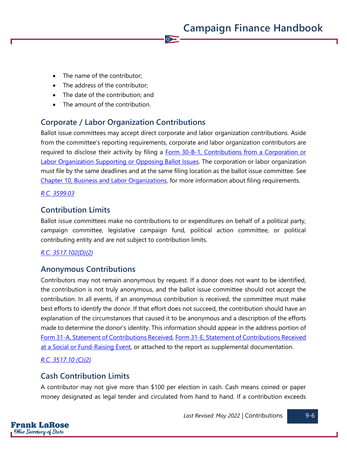- The name of the contributor;
- The address of the contributor;
- The date of the contribution; and
- The amount of the contribution.

# **Corporate / Labor Organization Contributions**

Ballot issue committees may accept direct corporate and labor organization contributions. Aside from the committee's reporting requirements, corporate and labor organization contributors are required to disclose their activity by filing a Form 30-B-1, Contributions from a Corporation or [Labor Organization Supporting](https://www.ohiosos.gov/globalassets/candidates/forms/30b1.pdf) or Opposing Ballot Issues. The corporation or labor organization must file by the same deadlines and at the same filing location as the ballot issue committee. See [Chapter 10, Business and Labor Organizations,](https://www.ohiosos.gov/globalassets/candidates/cfguide/chapters/chapter10.pdf) for more information about filing requirements.

 $\bullet$ 

#### *[R.C. 3599.03](https://codes.ohio.gov/ohio-revised-code/section-3599.03)*

# **Contribution Limits**

Ballot issue committees make no contributions to or expenditures on behalf of a political party, campaign committee, legislative campaign fund, political action committee, or political contributing entity and are not subject to contribution limits.

#### *[R.C. 3517.102\(D\)\(2\)](https://codes.ohio.gov/ohio-revised-code/section-3517.102)*

#### **Anonymous Contributions**

Contributors may not remain anonymous by request. If a donor does not want to be identified, the contribution is not truly anonymous, and the ballot issue committee should not accept the contribution. In all events, if an anonymous contribution is received, the committee must make best efforts to identify the donor. If that effort does not succeed, the contribution should have an explanation of the circumstances that caused it to be anonymous and a description of the efforts made to determine the donor's identity. This information should appear in the address portion of [Form 31-A, Statement of Contributions Received,](https://www.ohiosos.gov/globalassets/candidates/forms/31a.pdf) [Form 31-E, Statement of Contributions Received](https://www.ohiosos.gov/globalassets/candidates/forms/31e.pdf)  [at a Social or Fund-Raising Event,](https://www.ohiosos.gov/globalassets/candidates/forms/31e.pdf) or attached to the report as supplemental documentation.

#### *[R.C. 3517.10 \(C\)\(2\)](https://codes.ohio.gov/ohio-revised-code/section-3517.10)*

### **Cash Contribution Limits**

A contributor may not give more than \$100 per election in cash. Cash means coined or paper money designated as legal tender and circulated from hand to hand. If a contribution exceeds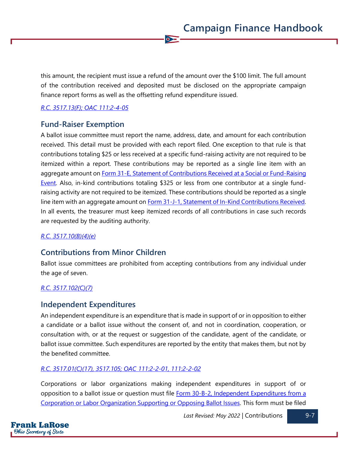this amount, the recipient must issue a refund of the amount over the \$100 limit. The full amount of the contribution received and deposited must be disclosed on the appropriate campaign finance report forms as well as the offsetting refund expenditure issued.

 $\bullet$ 

#### *[R.C. 3517.13\(F\);](https://codes.ohio.gov/ohio-revised-code/section-3517.13) [OAC 111:2-4-05](https://codes.ohio.gov/ohio-administrative-code/rule-111:2-4-05)*

#### **Fund-Raiser Exemption**

A ballot issue committee must report the name, address, date, and amount for each contribution received. This detail must be provided with each report filed. One exception to that rule is that contributions totaling \$25 or less received at a specific fund-raising activity are not required to be itemized within a report. These contributions may be reported as a single line item with an aggregate amount on Form 31-E, Statement of Contributions Received at a Social or Fund-Raising [Event.](https://www.ohiosos.gov/globalassets/candidates/forms/31e.pdf) Also, in-kind contributions totaling \$325 or less from one contributor at a single fundraising activity are not required to be itemized. These contributions should be reported as a single line item with an aggregate amount on **Form 31-J-1**, Statement of In-Kind Contributions Received. In all events, the treasurer must keep itemized records of all contributions in case such records are requested by the auditing authority.

#### *[R.C. 3517.10\(B\)\(4\)\(e\)](https://codes.ohio.gov/ohio-revised-code/section-3517.10)*

#### **Contributions from Minor Children**

Ballot issue committees are prohibited from accepting contributions from any individual under the age of seven.

#### *[R.C. 3517.102\(C\)\(7\)](https://codes.ohio.gov/ohio-revised-code/section-3517.102)*

#### **Independent Expenditures**

An independent expenditure is an expenditure that is made in support of or in opposition to either a candidate or a ballot issue without the consent of, and not in coordination, cooperation, or consultation with, or at the request or suggestion of the candidate, agent of the candidate, or ballot issue committee. Such expenditures are reported by the entity that makes them, but not by the benefited committee.

#### *[R.C. 3517.01\(C\)\(17\),](https://codes.ohio.gov/ohio-revised-code/section-3517.01) [3517.105;](https://codes.ohio.gov/ohio-revised-code/section-3517.105) [OAC 111:2-2-01,](https://codes.ohio.gov/ohio-administrative-code/rule-111:2-2-01) [111:2-2-02](https://codes.ohio.gov/ohio-administrative-code/rule-111:2-2-02)*

Corporations or labor organizations making independent expenditures in support of or opposition to a ballot issue or question must file Form 30-B-2, Independent Expenditures from a [Corporation or Labor Organization Supporting or Opposing Ballot Issues.](https://www.ohiosos.gov/globalassets/candidates/forms/30b2.pdf) This form must be filed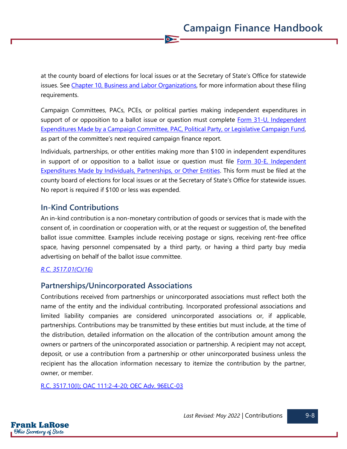at the county board of elections for local issues or at the Secretary of State's Office for statewide issues. See [Chapter 10, Business and Labor Organizations,](https://www.ohiosos.gov/globalassets/candidates/cfguide/chapters/chapter10.pdf) for more information about these filing requirements.

 $\bullet$ 

Campaign Committees, PACs, PCEs, or political parties making independent expenditures in support of or opposition to a ballot issue or question must complete [Form 31-U, Independent](https://www.ohiosos.gov/globalassets/candidates/forms/31u.pdf)  [Expenditures Made by a Campaign Committee, PAC, Political Party,](https://www.ohiosos.gov/globalassets/candidates/forms/31u.pdf) or Legislative Campaign Fund, as part of the committee's next required campaign finance report.

Individuals, partnerships, or other entities making more than \$100 in independent expenditures in support of or opposition to a ballot issue or question must file Form 30-E, Independent [Expenditures Made by Individuals, Partnerships,](https://www.ohiosos.gov/globalassets/candidates/forms/30e.pdf) or Other Entities. This form must be filed at the county board of elections for local issues or at the Secretary of State's Office for statewide issues. No report is required if \$100 or less was expended.

# **In-Kind Contributions**

An in-kind contribution is a non-monetary contribution of goods or services that is made with the consent of, in coordination or cooperation with, or at the request or suggestion of, the benefited ballot issue committee. Examples include receiving postage or signs, receiving rent-free office space, having personnel compensated by a third party, or having a third party buy media advertising on behalf of the ballot issue committee.

#### *[R.C. 3517.01\(C\)\(16\)](https://codes.ohio.gov/ohio-revised-code/section-3517.01)*

# **Partnerships/Unincorporated Associations**

Contributions received from partnerships or unincorporated associations must reflect both the name of the entity and the individual contributing. Incorporated professional associations and limited liability companies are considered unincorporated associations or, if applicable, partnerships. Contributions may be transmitted by these entities but must include, at the time of the distribution, detailed information on the allocation of the contribution amount among the owners or partners of the unincorporated association or partnership. A recipient may not accept, deposit, or use a contribution from a partnership or other unincorporated business unless the recipient has the allocation information necessary to itemize the contribution by the partner, owner, or member.

[R.C. 3517.10\(I\);](https://codes.ohio.gov/ohio-revised-code/section-3517.10) [OAC 111:2-4-20;](https://codes.ohio.gov/ohio-administrative-code/rule-111:2-4-20) [OEC Adv. 96ELC-03](https://elc.ohio.gov/wps/portal/gov/elc/opinions-decisions/advisory-opinions/by-year/96-03)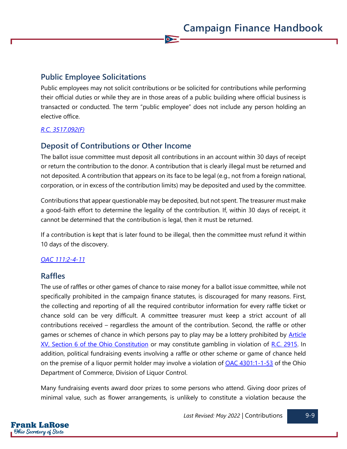# **Public Employee Solicitations**

Public employees may not solicit contributions or be solicited for contributions while performing their official duties or while they are in those areas of a public building where official business is transacted or conducted. The term "public employee" does not include any person holding an elective office.

 $\bullet$ 

#### *[R.C. 3517.092\(F\)](https://codes.ohio.gov/ohio-revised-code/section-3517.092)*

# **Deposit of Contributions or Other Income**

The ballot issue committee must deposit all contributions in an account within 30 days of receipt or return the contribution to the donor. A contribution that is clearly illegal must be returned and not deposited. A contribution that appears on its face to be legal (e.g., not from a foreign national, corporation, or in excess of the contribution limits) may be deposited and used by the committee.

Contributions that appear questionable may be deposited, but not spent. The treasurer must make a good-faith effort to determine the legality of the contribution. If, within 30 days of receipt, it cannot be determined that the contribution is legal, then it must be returned.

If a contribution is kept that is later found to be illegal, then the committee must refund it within 10 days of the discovery.

#### *[OAC 111:2-4-11](https://codes.ohio.gov/ohio-administrative-code/rule-111:2-4-11)*

#### **Raffles**

The use of raffles or other games of chance to raise money for a ballot issue committee, while not specifically prohibited in the campaign finance statutes, is discouraged for many reasons. First, the collecting and reporting of all the required contributor information for every raffle ticket or chance sold can be very difficult. A committee treasurer must keep a strict account of all contributions received – regardless the amount of the contribution. Second, the raffle or other games or schemes of chance in which persons pay to play may be a lottery prohibited by **Article** [XV, Section 6 of the Ohio Constitution](https://www.legislature.ohio.gov/laws/ohio-constitution/section?const=15.06) or may constitute gambling in violation of [R.C. 2915.](https://codes.ohio.gov/ohio-revised-code/chapter-2915) In addition, political fundraising events involving a raffle or other scheme or game of chance held on the premise of a liquor permit holder may involve a violation of [OAC 4301:1-1-53](https://codes.ohio.gov/ohio-administrative-code/rule-4301:1-1-53) of the Ohio Department of Commerce, Division of Liquor Control.

Many fundraising events award door prizes to some persons who attend. Giving door prizes of minimal value, such as flower arrangements, is unlikely to constitute a violation because the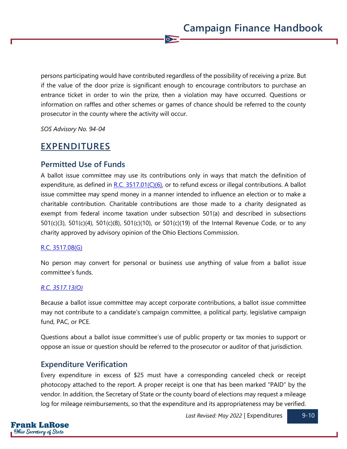persons participating would have contributed regardless of the possibility of receiving a prize. But if the value of the door prize is significant enough to encourage contributors to purchase an entrance ticket in order to win the prize, then a violation may have occurred. Questions or information on raffles and other schemes or games of chance should be referred to the county prosecutor in the county where the activity will occur.

 $\bullet$ 

*SOS Advisory No. 94-04*

# **EXPENDITURES**

#### **Permitted Use of Funds**

A ballot issue committee may use its contributions only in ways that match the definition of expenditure, as defined in  $R.C. 3517.01(C)(6)$ , or to refund excess or illegal contributions. A ballot issue committee may spend money in a manner intended to influence an election or to make a charitable contribution. Charitable contributions are those made to a charity designated as exempt from federal income taxation under subsection 501(a) and described in subsections 501(c)(3), 501(c)(4), 501(c)(8), 501(c)(10), or 501(c)(19) of the Internal Revenue Code, or to any charity approved by advisory opinion of the Ohio Elections Commission.

#### [R.C. 3517.08\(G\)](https://codes.ohio.gov/ohio-revised-code/section-3517.08)

No person may convert for personal or business use anything of value from a ballot issue committee's funds.

#### *[R.C. 3517.13\(O\)](https://codes.ohio.gov/ohio-revised-code/section-3517.13)*

Because a ballot issue committee may accept corporate contributions, a ballot issue committee may not contribute to a candidate's campaign committee, a political party, legislative campaign fund, PAC, or PCE.

Questions about a ballot issue committee's use of public property or tax monies to support or oppose an issue or question should be referred to the prosecutor or auditor of that jurisdiction.

#### **Expenditure Verification**

Every expenditure in excess of \$25 must have a corresponding canceled check or receipt photocopy attached to the report. A proper receipt is one that has been marked "PAID" by the vendor. In addition, the Secretary of State or the county board of elections may request a mileage log for mileage reimbursements, so that the expenditure and its appropriateness may be verified.

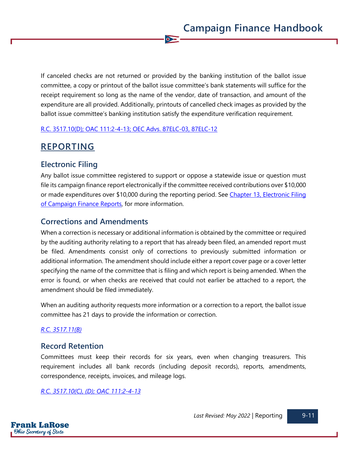If canceled checks are not returned or provided by the banking institution of the ballot issue committee, a copy or printout of the ballot issue committee's bank statements will suffice for the receipt requirement so long as the name of the vendor, date of transaction, and amount of the expenditure are all provided. Additionally, printouts of cancelled check images as provided by the ballot issue committee's banking institution satisfy the expenditure verification requirement.

 $\bullet$ 

#### [R.C. 3517.10\(D\);](https://codes.ohio.gov/ohio-revised-code/section-3517.10) [OAC 111:2-4-13;](https://codes.ohio.gov/ohio-administrative-code/rule-111:2-4-13) [OEC Advs. 87ELC-03,](https://elc.ohio.gov/wps/portal/gov/elc/opinions-decisions/advisory-opinions/by-year/87-3) [87ELC-12](https://elc.ohio.gov/wps/portal/gov/elc/opinions-decisions/advisory-opinions/by-year/87-12)

# **REPORTING**

# **Electronic Filing**

Any ballot issue committee registered to support or oppose a statewide issue or question must file its campaign finance report electronically if the committee received contributions over \$10,000 or made expenditures over \$10,000 during the reporting period. See [Chapter 13, Electronic Filing](https://www.ohiosos.gov/globalassets/candidates/cfguide/chapters/chapter13.pdf) of Campaign Finance Reports, for more information.

# **Corrections and Amendments**

When a correction is necessary or additional information is obtained by the committee or required by the auditing authority relating to a report that has already been filed, an amended report must be filed. Amendments consist only of corrections to previously submitted information or additional information. The amendment should include either a report cover page or a cover letter specifying the name of the committee that is filing and which report is being amended. When the error is found, or when checks are received that could not earlier be attached to a report, the amendment should be filed immediately.

When an auditing authority requests more information or a correction to a report, the ballot issue committee has 21 days to provide the information or correction.

#### *[R.C. 3517.11\(B\)](https://codes.ohio.gov/ohio-revised-code/section-3517.11)*

# **Record Retention**

Committees must keep their records for six years, even when changing treasurers. This requirement includes all bank records (including deposit records), reports, amendments, correspondence, receipts, invoices, and mileage logs.

*[R.C. 3517.10\(C\), \(D\);](https://codes.ohio.gov/ohio-revised-code/section-3517.10) [OAC 111:2-4-13](https://codes.ohio.gov/ohio-administrative-code/rule-111:2-4-13)*